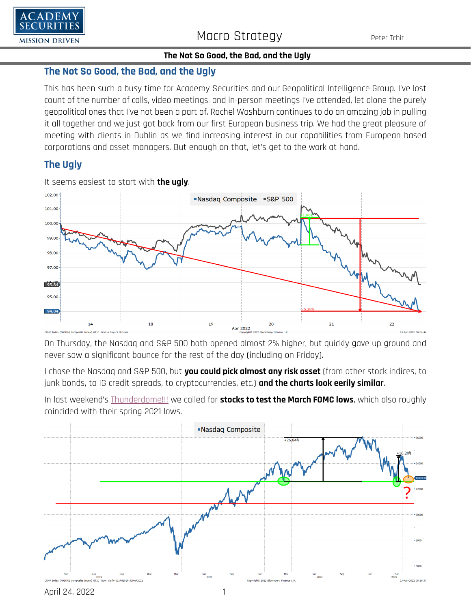

# **The Not So Good, the Bad, and the Ugly**

This has been such a busy time for Academy Securities and our Geopolitical Intelligence Group. I've lost count of the number of calls, video meetings, and in-person meetings I've attended, let alone the purely geopolitical ones that I've not been a part of. Rachel Washburn continues to do an amazing job in pulling it all together and we just got back from our first European business trip. We had the great pleasure of meeting with clients in Dublin as we find increasing interest in our capabilities from European based corporations and asset managers. But enough on that, let's get to the work at hand.

# **The Ugly**



It seems easiest to start with **the ugly**.

On Thursday, the Nasdaq and S&P 500 both opened almost 2% higher, but quickly gave up ground and never saw a significant bounce for the rest of the day (including on Friday).

I chose the Nasdaq and S&P 500, but **you could pick almost any risk asset** (from other stock indices, to junk bonds, to IG credit spreads, to cryptocurrencies, etc.) **and the charts look eerily similar**.

In last weekend's [Thunderdome!!!](https://www.academysecurities.com/wordpress/wp-content/uploads/2022/04/Welcome-to-Thunderdome-1.pdf) we called for **stocks to test the March FOMC lows**, which also roughly coincided with their spring 2021 lows.

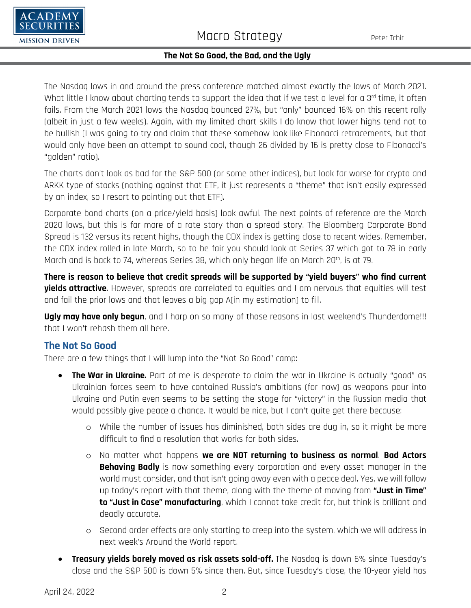

The Nasdaq lows in and around the press conference matched almost exactly the lows of March 2021. What little I know about charting tends to support the idea that if we test a level for a 3rd time, it often fails. From the March 2021 lows the Nasdaq bounced 27%, but "only" bounced 16% on this recent rally (albeit in just a few weeks). Again, with my limited chart skills I do know that lower highs tend not to be bullish (I was going to try and claim that these somehow look like Fibonacci retracements, but that would only have been an attempt to sound cool, though 26 divided by 16 is pretty close to Fibonacci's "golden" ratio).

The charts don't look as bad for the S&P 500 (or some other indices), but look far worse for crypto and ARKK type of stocks (nothing against that ETF, it just represents a "theme" that isn't easily expressed by an index, so I resort to pointing out that ETF).

Corporate bond charts (on a price/yield basis) look awful. The next points of reference are the March 2020 lows, but this is far more of a rate story than a spread story. The Bloomberg Corporate Bond Spread is 132 versus its recent highs, though the CDX index is getting close to recent wides. Remember, the CDX index rolled in late March, so to be fair you should look at Series 37 which got to 78 in early March and is back to 74, whereas Series 38, which only began life on March 20<sup>th</sup>, is at 79.

**There is reason to believe that credit spreads will be supported by "yield buyers" who find current yields attractive**. However, spreads are correlated to equities and I am nervous that equities will test and fail the prior lows and that leaves a big gap A(in my estimation) to fill.

**Ugly may have only begun**, and I harp on so many of those reasons in last weekend's Thunderdome!!! that I won't rehash them all here.

# **The Not So Good**

There are a few things that I will lump into the "Not So Good" camp:

- **The War in Ukraine.** Part of me is desperate to claim the war in Ukraine is actually "good" as Ukrainian forces seem to have contained Russia's ambitions (for now) as weapons pour into Ukraine and Putin even seems to be setting the stage for "victory" in the Russian media that would possibly give peace a chance. It would be nice, but I can't quite get there because:
	- o While the number of issues has diminished, both sides are dug in, so it might be more difficult to find a resolution that works for both sides.
	- o No matter what happens **we are NOT returning to business as normal**. **Bad Actors Behaving Badly** is now something every corporation and every asset manager in the world must consider, and that isn't going away even with a peace deal. Yes, we will follow up today's report with that theme, along with the theme of moving from **"Just in Time" to "Just in Case" manufacturing**, which I cannot take credit for, but think is brilliant and deadly accurate.
	- o Second order effects are only starting to creep into the system, which we will address in next week's Around the World report.
- **Treasury yields barely moved as risk assets sold-off.** The Nasdaq is down 6% since Tuesday's close and the S&P 500 is down 5% since then. But, since Tuesday's close, the 10-year yield has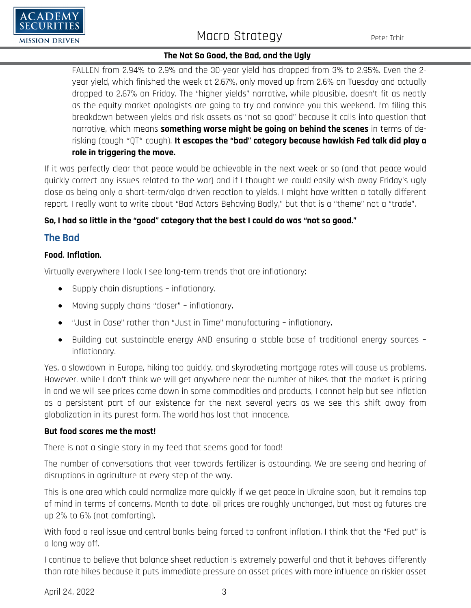

FALLEN from 2.94% to 2.9% and the 30-year yield has dropped from 3% to 2.95%. Even the 2 year yield, which finished the week at 2.67%, only moved up from 2.6% on Tuesday and actually dropped to 2.67% on Friday. The "higher yields" narrative, while plausible, doesn't fit as neatly as the equity market apologists are going to try and convince you this weekend. I'm filing this breakdown between yields and risk assets as "not so good" because it calls into question that narrative, which means **something worse might be going on behind the scenes** in terms of derisking (cough \*QT\* cough). **It escapes the "bad" category because hawkish Fed talk did play a role in triggering the move.**

If it was perfectly clear that peace would be achievable in the next week or so (and that peace would quickly correct any issues related to the war) and if I thought we could easily wish away Friday's ugly close as being only a short-term/algo driven reaction to yields, I might have written a totally different report. I really want to write about "Bad Actors Behaving Badly," but that is a "theme" not a "trade".

### **So, I had so little in the "good" category that the best I could do was "not so good."**

### **The Bad**

'ADEMY

**MISSION DRIVEN** 

#### **Food**. **Inflation**.

Virtually everywhere I look I see long-term trends that are inflationary:

- Supply chain disruptions inflationary.
- Moving supply chains "closer" inflationary.
- "Just in Case" rather than "Just in Time" manufacturing inflationary.
- Building out sustainable energy AND ensuring a stable base of traditional energy sources inflationary.

Yes, a slowdown in Europe, hiking too quickly, and skyrocketing mortgage rates will cause us problems. However, while I don't think we will get anywhere near the number of hikes that the market is pricing in and we will see prices come down in some commodities and products, I cannot help but see inflation as a persistent part of our existence for the next several years as we see this shift away from globalization in its purest form. The world has lost that innocence.

#### **But food scares me the most!**

There is not a single story in my feed that seems good for food!

The number of conversations that veer towards fertilizer is astounding. We are seeing and hearing of disruptions in agriculture at every step of the way.

This is one area which could normalize more quickly if we get peace in Ukraine soon, but it remains top of mind in terms of concerns. Month to date, oil prices are roughly unchanged, but most ag futures are up 2% to 6% (not comforting).

With food a real issue and central banks being forced to confront inflation, I think that the "Fed put" is a long way off.

I continue to believe that balance sheet reduction is extremely powerful and that it behaves differently than rate hikes because it puts immediate pressure on asset prices with more influence on riskier asset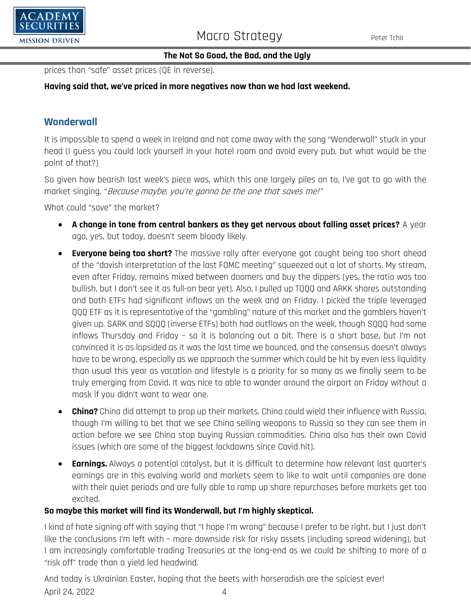

prices than "safe" asset prices (QE in reverse).

## **Having said that, we've priced in more negatives now than we had last weekend.**

# **Wonderwall**

It is impossible to spend a week in Ireland and not come away with the song "Wonderwall" stuck in your head (I guess you could lock yourself in your hotel room and avoid every pub, but what would be the point of that?)

So given how bearish last week's piece was, which this one largely piles on to, I've got to go with the market singing, "Because maybe, you're gonna be the one that saves me!"

What could "save" the market?

- **A change in tone from central bankers as they get nervous about falling asset prices?** A year ago, yes, but today, doesn't seem bloody likely.
- **Everyone being too short?** The massive rally after everyone got caught being too short ahead of the "dovish interpretation of the last FOMC meeting" squeezed out a lot of shorts. My stream, even after Friday, remains mixed between doomers and buy the dippers (yes, the ratio was too bullish, but I don't see it as full-on bear yet). Also, I pulled up TQQQ and ARKK shares outstanding and both ETFs had significant inflows on the week and on Friday. I picked the triple leveraged QQQ ETF as it is representative of the "gambling" nature of this market and the gamblers haven't given up. SARK and SQQQ (inverse ETFs) both had outflows on the week, though SQQQ had some inflows Thursday and Friday – so it is balancing out a bit. There is a short base, but I'm not convinced it is as lopsided as it was the last time we bounced, and the consensus doesn't always have to be wrong, especially as we approach the summer which could be hit by even less liquidity than usual this year as vacation and lifestyle is a priority for so many as we finally seem to be truly emerging from Covid. It was nice to able to wander around the airport on Friday without a mask if you didn't want to wear one.
- **China?** China did attempt to prop up their markets. China could wield their influence with Russia, though I'm willing to bet that we see China selling weapons to Russia so they can see them in action before we see China stop buying Russian commodities. China also has their own Covid issues (which are some of the biggest lockdowns since Covid hit).
- **Earnings.** Always a potential catalyst, but it is difficult to determine how relevant last quarter's earnings are in this evolving world and markets seem to like to wait until companies are done with their quiet periods and are fully able to ramp up share repurchases before markets get too excited.

### **So maybe this market will find its Wonderwall, but I'm highly skeptical.**

I kind of hate signing off with saying that "I hope I'm wrong" because I prefer to be right, but I just don't like the conclusions I'm left with – more downside risk for risky assets (including spread widening), but I am increasingly comfortable trading Treasuries at the long-end as we could be shifting to more of a "risk off" trade than a yield led headwind.

April 24, 2022 4 And today is Ukrainian Easter, hoping that the beets with horseradish are the spiciest ever!